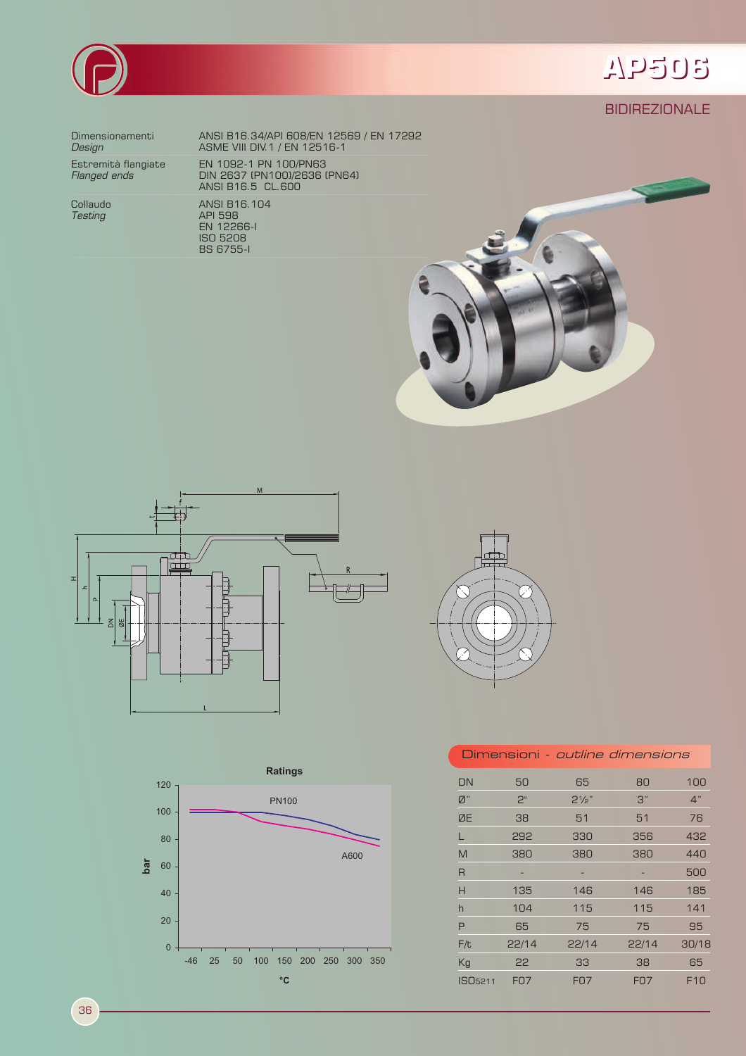

## AP506

## **BIDIREZIONALE**

Dimensionamenti Design

Estremità flangiate<br>*Flanged ends* 

Collaudo **Testing** 

ANSI B16.34/API 608/EN 12569 / EN 17292<br>ASME VIII DIV.1 / EN 12516-1 EN 1092-1 PN 100/PN63<br>DIN 2637 (PN100)/2636 (PN64)<br>ANSI B16.5 CL.600 ANSI B16.104 **API 598** EN 12266-1





**BS 6755-1** 





| Dimensioni - <i>outline dimensions</i> |                |                  |            |                 |
|----------------------------------------|----------------|------------------|------------|-----------------|
| DN                                     | 50             | 65               | 80         | 100             |
| Ø"                                     | 2 <sup>n</sup> | $2\frac{1}{2}$ " | 3"         | 4"              |
| ØE                                     | 38             | 51               | 51         | 76              |
| L                                      | 292            | 330              | 356        | 432             |
| M                                      | 380            | 380              | 380        | 440             |
| R                                      |                | -                |            | 500             |
| Н                                      | 135            | 146              | 146        | 185             |
| h                                      | 104            | 115              | 115        | 141             |
| P                                      | 65             | 75               | 75         | 95              |
| F/t                                    | 22/14          | 22/14            | 22/14      | 30/18           |
| Kg                                     | 22             | 33               | 38         | 65              |
| ISO <sub>5211</sub>                    | <b>FO7</b>     | <b>FO7</b>       | <b>FO7</b> | F <sub>10</sub> |